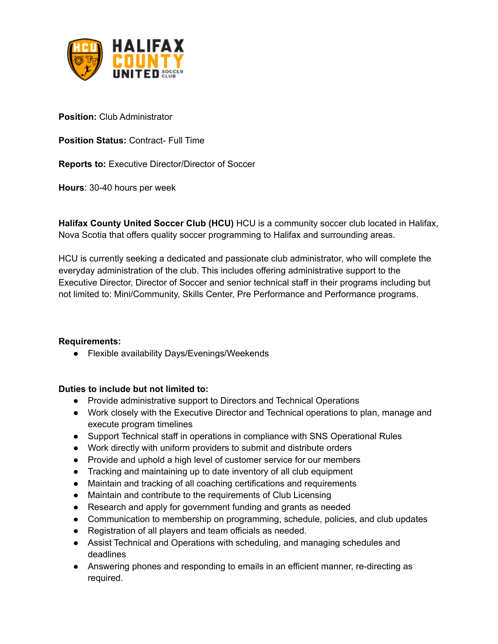

**Position:** Club Administrator

**Position Status:** Contract- Full Time

**Reports to:** Executive Director/Director of Soccer

**Hours**: 30-40 hours per week

**Halifax County United Soccer Club (HCU)** HCU is a community soccer club located in Halifax, Nova Scotia that offers quality soccer programming to Halifax and surrounding areas.

HCU is currently seeking a dedicated and passionate club administrator, who will complete the everyday administration of the club. This includes offering administrative support to the Executive Director, Director of Soccer and senior technical staff in their programs including but not limited to: Mini/Community, Skills Center, Pre Performance and Performance programs.

## **Requirements:**

● Flexible availability Days/Evenings/Weekends

## **Duties to include but not limited to:**

- Provide administrative support to Directors and Technical Operations
- Work closely with the Executive Director and Technical operations to plan, manage and execute program timelines
- Support Technical staff in operations in compliance with SNS Operational Rules
- Work directly with uniform providers to submit and distribute orders
- Provide and uphold a high level of customer service for our members
- Tracking and maintaining up to date inventory of all club equipment
- Maintain and tracking of all coaching certifications and requirements
- Maintain and contribute to the requirements of Club Licensing
- Research and apply for government funding and grants as needed
- Communication to membership on programming, schedule, policies, and club updates
- Registration of all players and team officials as needed.
- Assist Technical and Operations with scheduling, and managing schedules and deadlines
- Answering phones and responding to emails in an efficient manner, re-directing as required.